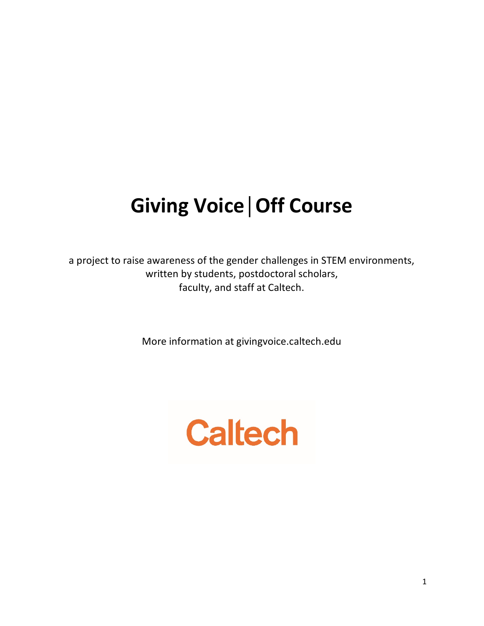# **Giving Voice│Off Course**

a project to raise awareness of the gender challenges in STEM environments, written by students, postdoctoral scholars, faculty, and staff at Caltech.

More information at givingvoice.caltech.edu

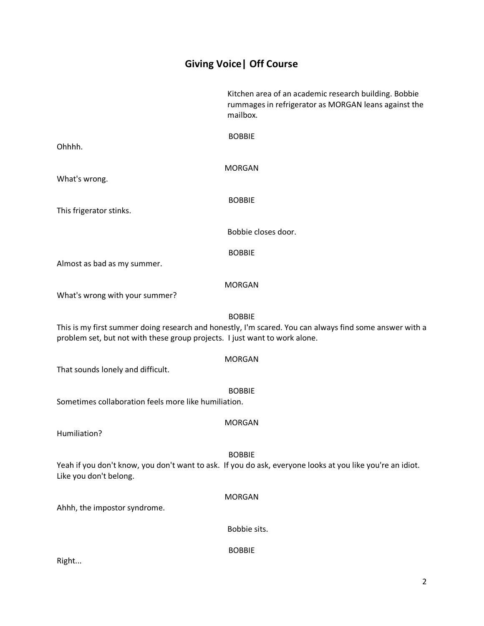## **Giving Voice| Off Course**

Kitchen area of an academic research building. Bobbie rummages in refrigerator as MORGAN leans against the mailbox.

BOBBIE Ohhhh. MORGAN What's wrong. BOBBIE This frigerator stinks. Bobbie closes door. BOBBIE Almost as bad as my summer. MORGAN What's wrong with your summer? BOBBIE This is my first summer doing research and honestly, I'm scared. You can always find some answer with a problem set, but not with these group projects. I just want to work alone. MORGAN That sounds lonely and difficult. BOBBIE Sometimes collaboration feels more like humiliation. MORGAN Humiliation? BOBBIE Yeah if you don't know, you don't want to ask. If you do ask, everyone looks at you like you're an idiot. Like you don't belong. MORGAN Ahhh, the impostor syndrome. Bobbie sits. BOBBIE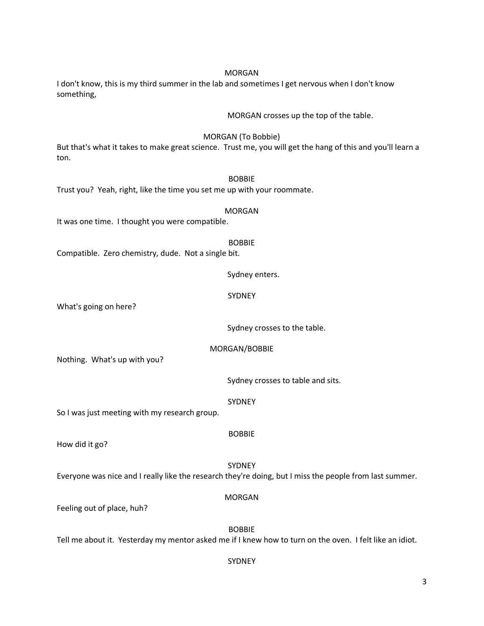# MORGAN crosses up the top of the table. MORGAN (To Bobbie) But that's what it takes to make great science. Trust me, you will get the hang of this and you'll learn a ton. BOBBIE Trust you? Yeah, right, like the time you set me up with your roommate. MORGAN It was one time. I thought you were compatible. BOBBIE Compatible. Zero chemistry, dude. Not a single bit. Sydney enters. SYDNEY What's going on here? Sydney crosses to the table. MORGAN/BOBBIE Nothing. What's up with you? Sydney crosses to table and sits. SYDNEY So I was just meeting with my research group. BOBBIE How did it go? SYDNEY Everyone was nice and I really like the research they're doing, but I miss the people from last summer. MORGAN Feeling out of place, huh? BOBBIE Tell me about it. Yesterday my mentor asked me if I knew how to turn on the oven. I felt like an idiot.

something,

### SYDNEY

#### 3

#### MORGAN I don't know, this is my third summer in the lab and sometimes I get nervous when I don't know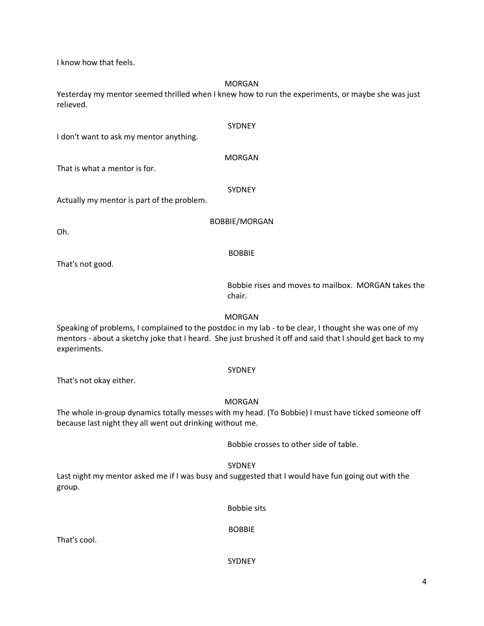I know how that feels.

MORGAN

Yesterday my mentor seemed thrilled when I knew how to run the experiments, or maybe she was just relieved.

I don't want to ask my mentor anything.

MORGAN

SYDNEY

That is what a mentor is for.

SYDNEY

Actually my mentor is part of the problem.

BOBBIE/MORGAN

Oh.

BOBBIE

That's not good.

Bobbie rises and moves to mailbox. MORGAN takes the chair.

MORGAN

Speaking of problems, I complained to the postdoc in my lab - to be clear, I thought she was one of my mentors - about a sketchy joke that I heard. She just brushed it off and said that I should get back to my experiments.

SYDNEY

That's not okay either.

MORGAN

The whole in-group dynamics totally messes with my head. (To Bobbie) I must have ticked someone off because last night they all went out drinking without me.

Bobbie crosses to other side of table.

SYDNEY

Last night my mentor asked me if I was busy and suggested that I would have fun going out with the group.

Bobbie sits

BOBBIE

That's cool.

SYDNEY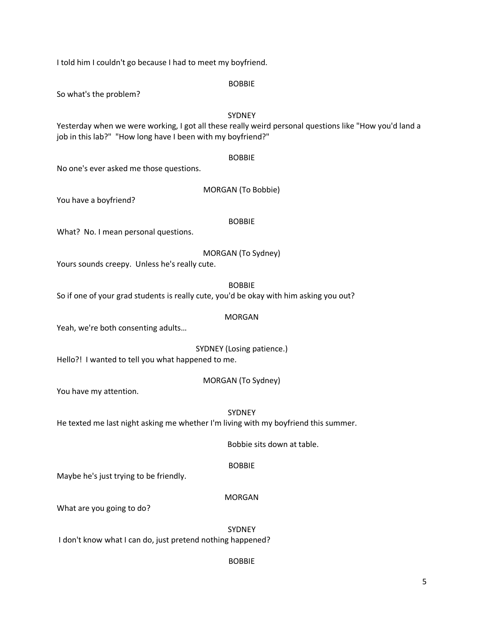I told him I couldn't go because I had to meet my boyfriend.

BOBBIE

So what's the problem?

SYDNEY Yesterday when we were working, I got all these really weird personal questions like "How you'd land a job in this lab?" "How long have I been with my boyfriend?"

#### BOBBIE

No one's ever asked me those questions.

You have a boyfriend?

#### BOBBIE

What? No. I mean personal questions.

#### MORGAN (To Sydney)

Yours sounds creepy. Unless he's really cute.

BOBBIE

So if one of your grad students is really cute, you'd be okay with him asking you out?

#### MORGAN

Yeah, we're both consenting adults…

SYDNEY (Losing patience.)

Hello?! I wanted to tell you what happened to me.

MORGAN (To Sydney)

You have my attention.

SYDNEY

He texted me last night asking me whether I'm living with my boyfriend this summer.

Bobbie sits down at table.

#### BOBBIE

Maybe he's just trying to be friendly.

#### MORGAN

What are you going to do?

**SYDNEY** 

I don't know what I can do, just pretend nothing happened?

#### BOBBIE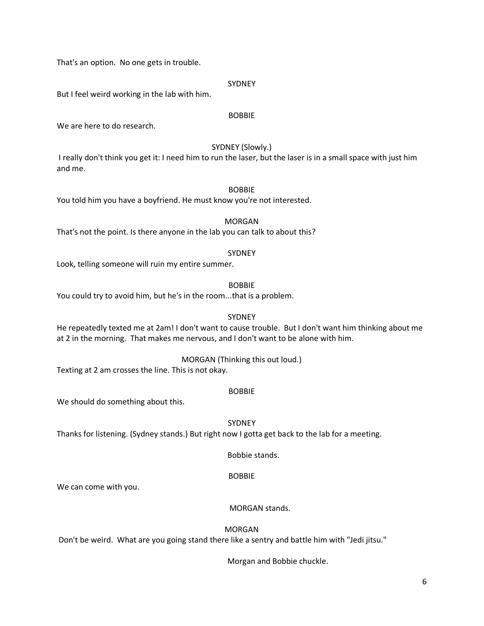That's an option. No one gets in trouble.

#### **SYDNEY**

But I feel weird working in the lab with him.

#### BOBBIE

We are here to do research.

#### SYDNEY (Slowly.)

I really don't think you get it: I need him to run the laser, but the laser is in a small space with just him and me.

#### BOBBIE

You told him you have a boyfriend. He must know you're not interested.

#### MORGAN

That's not the point. Is there anyone in the lab you can talk to about this?

#### SYDNEY

Look, telling someone will ruin my entire summer.

#### BOBBIE

You could try to avoid him, but he's in the room...that is a problem.

#### SYDNEY

He repeatedly texted me at 2am! I don't want to cause trouble. But I don't want him thinking about me at 2 in the morning. That makes me nervous, and I don't want to be alone with him.

#### MORGAN (Thinking this out loud.)

Texting at 2 am crosses the line. This is not okay.

#### BOBBIE

We should do something about this.

SYDNEY

Thanks for listening. (Sydney stands.) But right now I gotta get back to the lab for a meeting.

Bobbie stands.

#### BOBBIE

We can come with you.

#### MORGAN stands.

#### MORGAN

Don't be weird. What are you going stand there like a sentry and battle him with "Jedi jitsu."

Morgan and Bobbie chuckle.